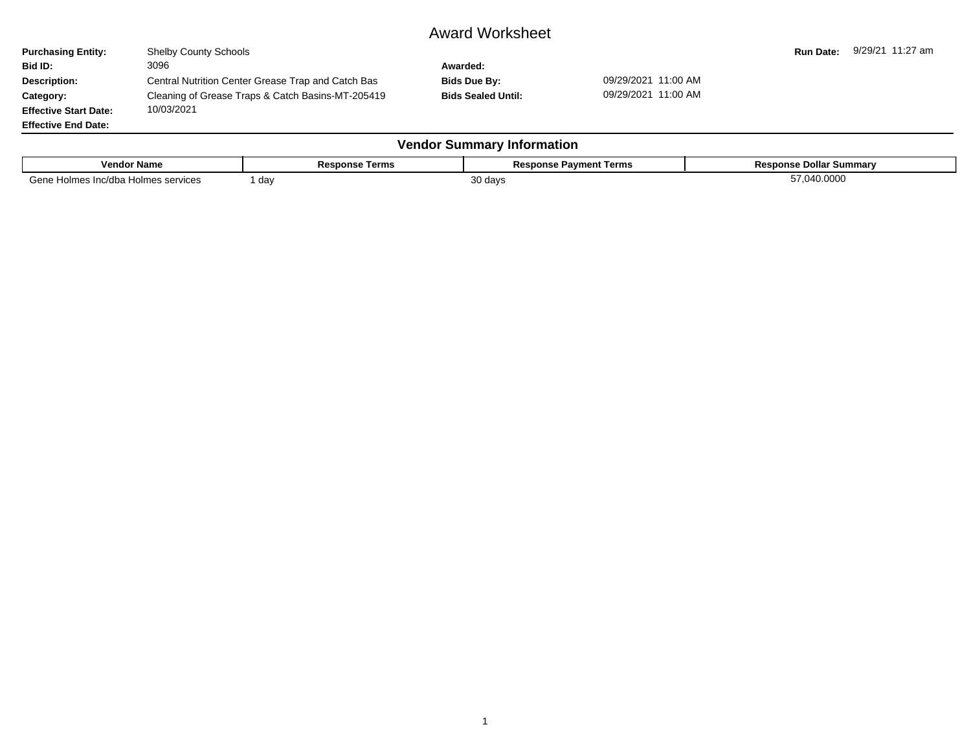## Award Worksheet

| <b>Purchasing Entity:</b>                 | <b>Shelby County Schools</b>                                    |                           |                     | <b>Run Date:</b> | 9/29/21 11:27 am |  |  |  |
|-------------------------------------------|-----------------------------------------------------------------|---------------------------|---------------------|------------------|------------------|--|--|--|
| Bid ID:                                   | 3096                                                            | Awarded:                  |                     |                  |                  |  |  |  |
| <b>Description:</b>                       | Central Nutrition Center Grease Trap and Catch Bas              | Bids Due By:              | 09/29/2021 11:00 AM |                  |                  |  |  |  |
| Category:<br><b>Effective Start Date:</b> | Cleaning of Grease Traps & Catch Basins-MT-205419<br>10/03/2021 | <b>Bids Sealed Until:</b> | 09/29/2021 11:00 AM |                  |                  |  |  |  |
| <b>Effective End Date:</b>                |                                                                 |                           |                     |                  |                  |  |  |  |
| <b>Vendor Summary Information</b>         |                                                                 |                           |                     |                  |                  |  |  |  |

| <b>Vendor Name</b>                                           | Doc.<br>kesponse i<br>: Terms | Pavment Terms<br>Response | Response Dollar Summary |
|--------------------------------------------------------------|-------------------------------|---------------------------|-------------------------|
| $\sim$ $\sim$ $\sim$<br>Inc/dba<br>Holmes<br>Holmes services | da∖                           | .∪ days                   | 040.0000                |